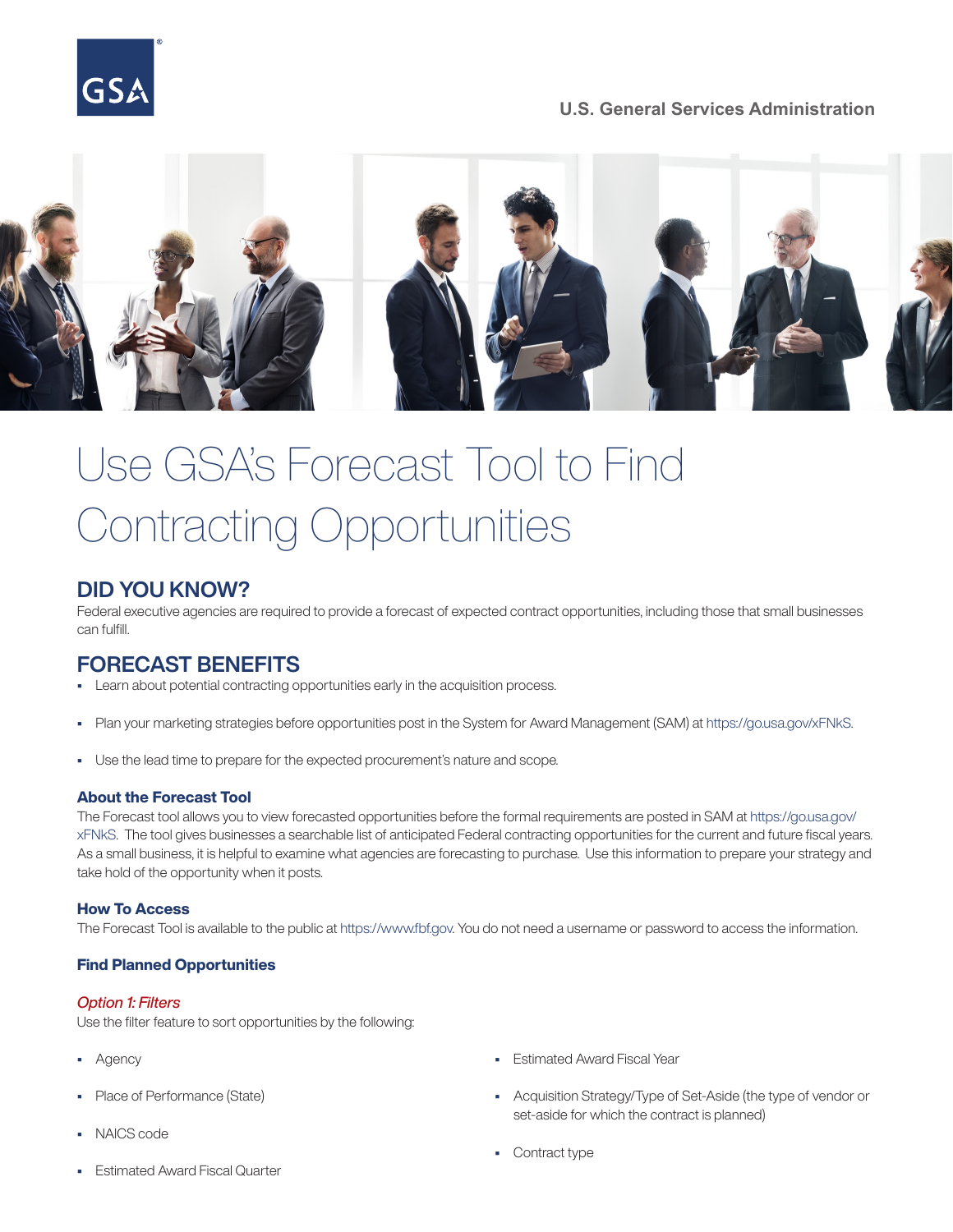# **U.S. General Services Administration**



# Use GSA's Forecast Tool to Find Contracting Opportunities

# DID YOU KNOW?

Federal executive agencies are required to provide a forecast of expected contract opportunities, including those that small businesses can fulfill.

# FORECAST BENEFITS

- Learn about potential contracting opportunities early in the acquisition process.
- Plan your marketing strategies before opportunities post in the System for Award Management (SAM) at<https://go.usa.gov/xFNkS>.
- Use the lead time to prepare for the expected procurement's nature and scope.

## About the Forecast Tool

The Forecast tool allows you to view forecasted opportunities before the formal requirements are posted in SAM at [https://go.usa.gov/](https://go.usa.gov/xFNkS) [xFNkS.](https://go.usa.gov/xFNkS) The tool gives businesses a searchable list of anticipated Federal contracting opportunities for the current and future fiscal years. As a small business, it is helpful to examine what agencies are forecasting to purchase. Use this information to prepare your strategy and take hold of the opportunity when it posts.

# How To Access

The Forecast Tool is available to the public at [https://www.fbf.gov.](https://www.fbf.gov) You do not need a username or password to access the information.

# Find Planned Opportunities

## *Option 1: Filters*

Use the filter feature to sort opportunities by the following:

- Agency
- Place of Performance (State)
- NAICS code
- Estimated Award Fiscal Quarter
- Estimated Award Fiscal Year
- Acquisition Strategy/Type of Set-Aside (the type of vendor or set-aside for which the contract is planned)
- Contract type